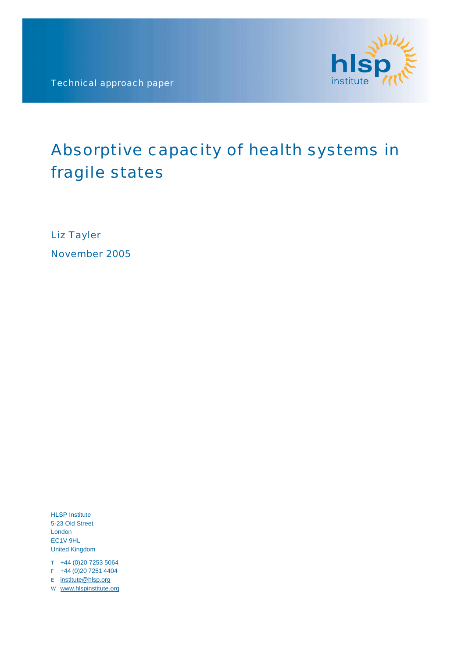Technical approach paper



# Absorptive capacity of health systems in fragile states

Liz Tayler November 2005

HLSP Institute 5-23 Old Street London EC1V 9HL United Kingdom

- $T +44 (0)20 7253 5064$
- $F +44 (0)20 7251 4404$
- E [institute@hlsp.org](mailto:institute@hlsp.org)
- W www.hlspinstitute.org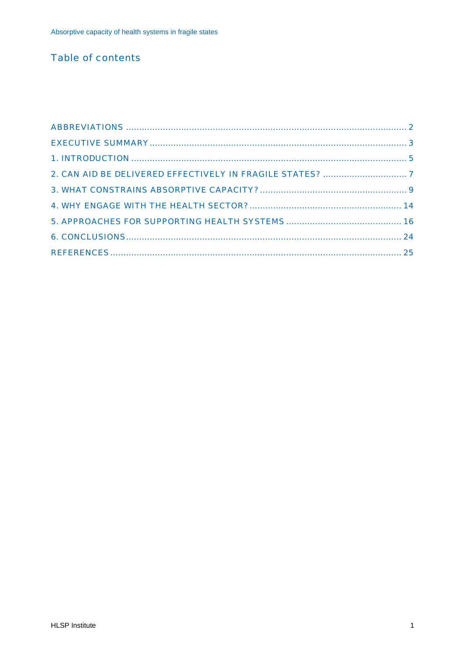# **Table of contents**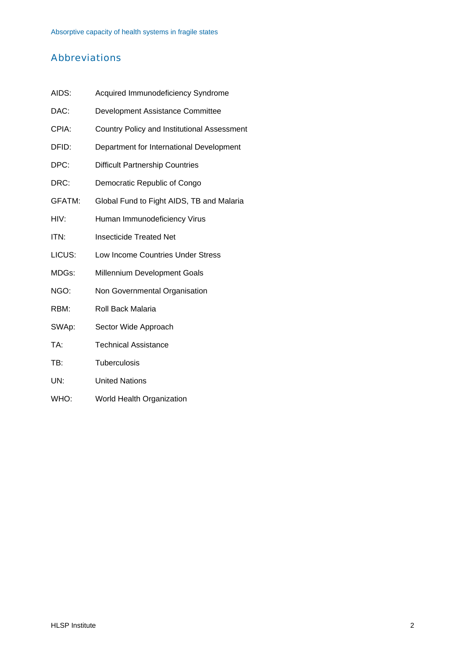# <span id="page-2-0"></span>Abbreviations

| AIDS:  | Acquired Immunodeficiency Syndrome          |
|--------|---------------------------------------------|
| DAC:   | Development Assistance Committee            |
| CPIA:  | Country Policy and Institutional Assessment |
| DFID:  | Department for International Development    |
| DPC:   | <b>Difficult Partnership Countries</b>      |
| DRC:   | Democratic Republic of Congo                |
| GFATM: | Global Fund to Fight AIDS, TB and Malaria   |
| HIV:   | Human Immunodeficiency Virus                |
| ITN:   | <b>Insecticide Treated Net</b>              |
| LICUS: | Low Income Countries Under Stress           |
| MDGs:  | Millennium Development Goals                |
| NGO:   | Non Governmental Organisation               |
| RBM:   | Roll Back Malaria                           |
| SWAp:  | Sector Wide Approach                        |
| TA:    | <b>Technical Assistance</b>                 |
| TB:    | Tuberculosis                                |
| UN:    | <b>United Nations</b>                       |

WHO: World Health Organization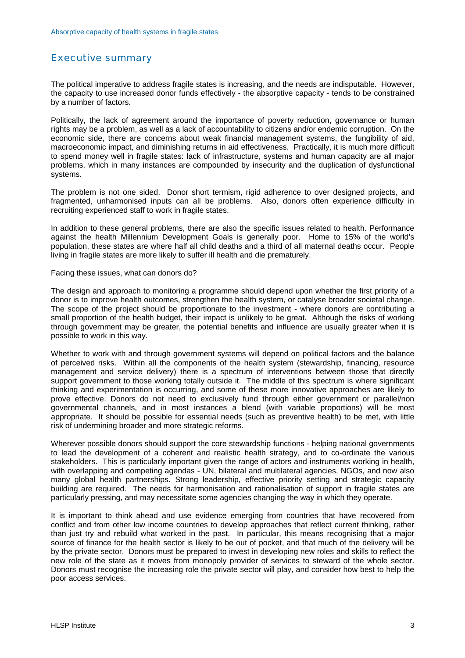# <span id="page-3-0"></span>Executive summary

The political imperative to address fragile states is increasing, and the needs are indisputable. However, the capacity to use increased donor funds effectively - the absorptive capacity - tends to be constrained by a number of factors.

Politically, the lack of agreement around the importance of poverty reduction, governance or human rights may be a problem, as well as a lack of accountability to citizens and/or endemic corruption. On the economic side, there are concerns about weak financial management systems, the fungibility of aid, macroeconomic impact, and diminishing returns in aid effectiveness. Practically, it is much more difficult to spend money well in fragile states: lack of infrastructure, systems and human capacity are all major problems, which in many instances are compounded by insecurity and the duplication of dysfunctional systems.

The problem is not one sided. Donor short termism, rigid adherence to over designed projects, and fragmented, unharmonised inputs can all be problems. Also, donors often experience difficulty in recruiting experienced staff to work in fragile states.

In addition to these general problems, there are also the specific issues related to health. Performance against the health Millennium Development Goals is generally poor. Home to 15% of the world's population, these states are where half all child deaths and a third of all maternal deaths occur. People living in fragile states are more likely to suffer ill health and die prematurely.

#### Facing these issues, what can donors do?

The design and approach to monitoring a programme should depend upon whether the first priority of a donor is to improve health outcomes, strengthen the health system, or catalyse broader societal change. The scope of the project should be proportionate to the investment - where donors are contributing a small proportion of the health budget, their impact is unlikely to be great. Although the risks of working through government may be greater, the potential benefits and influence are usually greater when it is possible to work in this way.

Whether to work with and through government systems will depend on political factors and the balance of perceived risks. Within all the components of the health system (stewardship, financing, resource management and service delivery) there is a spectrum of interventions between those that directly support government to those working totally outside it. The middle of this spectrum is where significant thinking and experimentation is occurring, and some of these more innovative approaches are likely to prove effective. Donors do not need to exclusively fund through either government or parallel/non governmental channels, and in most instances a blend (with variable proportions) will be most appropriate. It should be possible for essential needs (such as preventive health) to be met, with little risk of undermining broader and more strategic reforms.

Wherever possible donors should support the core stewardship functions - helping national governments to lead the development of a coherent and realistic health strategy, and to co-ordinate the various stakeholders. This is particularly important given the range of actors and instruments working in health, with overlapping and competing agendas - UN, bilateral and multilateral agencies, NGOs, and now also many global health partnerships. Strong leadership, effective priority setting and strategic capacity building are required. The needs for harmonisation and rationalisation of support in fragile states are particularly pressing, and may necessitate some agencies changing the way in which they operate.

It is important to think ahead and use evidence emerging from countries that have recovered from conflict and from other low income countries to develop approaches that reflect current thinking, rather than just try and rebuild what worked in the past. In particular, this means recognising that a major source of finance for the health sector is likely to be out of pocket, and that much of the delivery will be by the private sector. Donors must be prepared to invest in developing new roles and skills to reflect the new role of the state as it moves from monopoly provider of services to steward of the whole sector. Donors must recognise the increasing role the private sector will play, and consider how best to help the poor access services.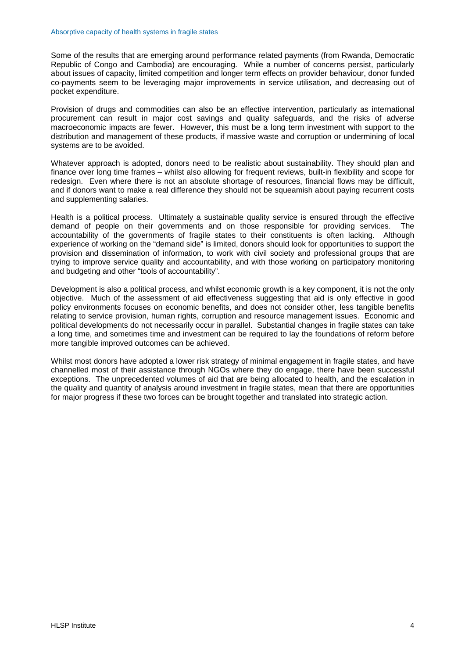Some of the results that are emerging around performance related payments (from Rwanda, Democratic Republic of Congo and Cambodia) are encouraging. While a number of concerns persist, particularly about issues of capacity, limited competition and longer term effects on provider behaviour, donor funded co-payments seem to be leveraging major improvements in service utilisation, and decreasing out of pocket expenditure.

Provision of drugs and commodities can also be an effective intervention, particularly as international procurement can result in major cost savings and quality safeguards, and the risks of adverse macroeconomic impacts are fewer. However, this must be a long term investment with support to the distribution and management of these products, if massive waste and corruption or undermining of local systems are to be avoided.

Whatever approach is adopted, donors need to be realistic about sustainability. They should plan and finance over long time frames – whilst also allowing for frequent reviews, built-in flexibility and scope for redesign. Even where there is not an absolute shortage of resources, financial flows may be difficult, and if donors want to make a real difference they should not be squeamish about paying recurrent costs and supplementing salaries.

Health is a political process. Ultimately a sustainable quality service is ensured through the effective demand of people on their governments and on those responsible for providing services. The accountability of the governments of fragile states to their constituents is often lacking. Although experience of working on the "demand side" is limited, donors should look for opportunities to support the provision and dissemination of information, to work with civil society and professional groups that are trying to improve service quality and accountability, and with those working on participatory monitoring and budgeting and other "tools of accountability".

Development is also a political process, and whilst economic growth is a key component, it is not the only objective. Much of the assessment of aid effectiveness suggesting that aid is only effective in good policy environments focuses on economic benefits, and does not consider other, less tangible benefits relating to service provision, human rights, corruption and resource management issues. Economic and political developments do not necessarily occur in parallel. Substantial changes in fragile states can take a long time, and sometimes time and investment can be required to lay the foundations of reform before more tangible improved outcomes can be achieved.

Whilst most donors have adopted a lower risk strategy of minimal engagement in fragile states, and have channelled most of their assistance through NGOs where they do engage, there have been successful exceptions. The unprecedented volumes of aid that are being allocated to health, and the escalation in the quality and quantity of analysis around investment in fragile states, mean that there are opportunities for major progress if these two forces can be brought together and translated into strategic action.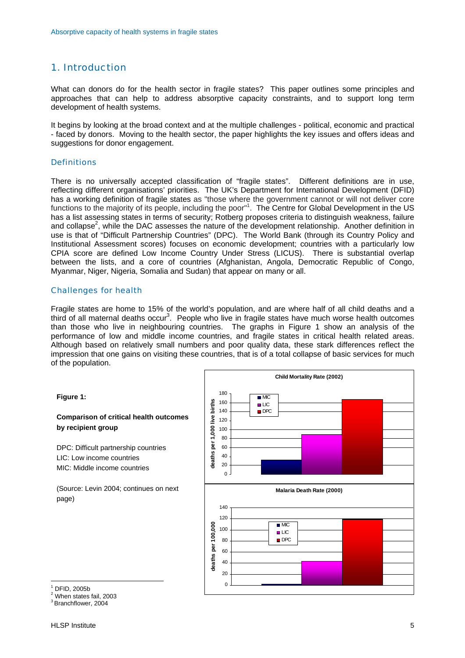# <span id="page-5-0"></span>1. Introduction

What can donors do for the health sector in fragile states? This paper outlines some principles and approaches that can help to address absorptive capacity constraints, and to support long term development of health systems.

It begins by looking at the broad context and at the multiple challenges - political, economic and practical - faced by donors. Moving to the health sector, the paper highlights the key issues and offers ideas and suggestions for donor engagement.

#### **Definitions**

There is no universally accepted classification of "fragile states". Different definitions are in use, reflecting different organisations' priorities. The UK's Department for International Development (DFID) has a working definition of fragile states as "those where the government cannot or will not deliver core functions to the majority of its people, including the poor"<sup>[1](#page-5-1)</sup>. The Centre for Global Development in the US has a list assessing states in terms of security; Rotberg proposes criteria to distinguish weakness, failure and collapse<sup>[2](#page-5-2)</sup>, while the DAC assesses the nature of the development relationship. Another definition in use is that of "Difficult Partnership Countries" (DPC). The World Bank (through its Country Policy and Institutional Assessment scores) focuses on economic development; countries with a particularly low CPIA score are defined Low Income Country Under Stress (LICUS). There is substantial overlap between the lists, and a core of countries (Afghanistan, Angola, Democratic Republic of Congo, Myanmar, Niger, Nigeria, Somalia and Sudan) that appear on many or all.

#### Challenges for health

Fragile states are home to 15% of the world's population, and are where half of all child deaths and a third of all maternal deaths occur<sup>[3](#page-5-3)</sup>. People who live in fragile states have much worse health outcomes than those who live in neighbouring countries. The graphs in Figure 1 show an analysis of the performance of low and middle income countries, and fragile states in critical health related areas. Although based on relatively small numbers and poor quality data, these stark differences reflect the impression that one gains on visiting these countries, that is of a total collapse of basic services for much of the population.

**Figure 1:** 

#### **Comparison of critical health outcomes by recipient group**

DPC: Difficult partnership countries LIC: Low income countries MIC: Middle income countries

(Source: Levin 2004; continues on next page)



<span id="page-5-1"></span>1 DFID, 2005b

 $\overline{a}$ 

<span id="page-5-2"></span>2 When states fail, 2003

<span id="page-5-3"></span>3 Branchflower, 2004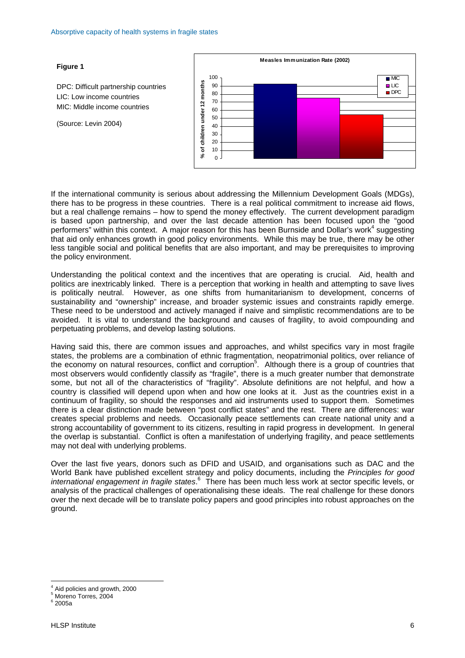

If the international community is serious about addressing the Millennium Development Goals (MDGs), there has to be progress in these countries. There is a real political commitment to increase aid flows, but a real challenge remains – how to spend the money effectively. The current development paradigm is based upon partnership, and over the last decade attention has been focused upon the "good performers"within this context. A major reason for this has been Burnside and Dollar's work<sup>4</sup> suggesting that aid only enhances growth in good policy environments. While this may be true, there may be other less tangible social and political benefits that are also important, and may be prerequisites to improving the policy environment.

Understanding the political context and the incentives that are operating is crucial. Aid, health and politics are inextricably linked. There is a perception that working in health and attempting to save lives is politically neutral. However, as one shifts from humanitarianism to development, concerns of sustainability and "ownership" increase, and broader systemic issues and constraints rapidly emerge. These need to be understood and actively managed if naive and simplistic recommendations are to be avoided. It is vital to understand the background and causes of fragility, to avoid compounding and perpetuating problems, and develop lasting solutions.

Having said this, there are common issues and approaches, and whilst specifics vary in most fragile states, the problems are a combination of ethnic fragmentation, neopatrimonial politics, over reliance of the economy on natural resources, conflict and corruption<sup>[5](#page-6-1)</sup>. Although there is a group of countries that most observers would confidently classify as "fragile", there is a much greater number that demonstrate some, but not all of the characteristics of "fragility". Absolute definitions are not helpful, and how a country is classified will depend upon when and how one looks at it. Just as the countries exist in a continuum of fragility, so should the responses and aid instruments used to support them. Sometimes there is a clear distinction made between "post conflict states" and the rest. There are differences: war creates special problems and needs. Occasionally peace settlements can create national unity and a strong accountability of government to its citizens, resulting in rapid progress in development. In general the overlap is substantial. Conflict is often a manifestation of underlying fragility, and peace settlements may not deal with underlying problems.

Over the last five years, donors such as DFID and USAID, and organisations such as DAC and the World Bank have published excellent strategy and policy documents, including the *Principles for good*  internationalengagement in fragile states.<sup>6</sup> There has been much less work at sector specific levels, or analysis of the practical challenges of operationalising these ideals. The real challenge for these donors over the next decade will be to translate policy papers and good principles into robust approaches on the ground.

 $\overline{a}$ 

### **Figure 1**

(Source: Levin 2004)

DPC: Difficult partnership countries LIC: Low income countries MIC: Middle income countries

<span id="page-6-0"></span><sup>4</sup> Aid policies and growth, 2000

<span id="page-6-1"></span><sup>5</sup> Moreno Torres, 2004

<span id="page-6-2"></span> $^6$  2005a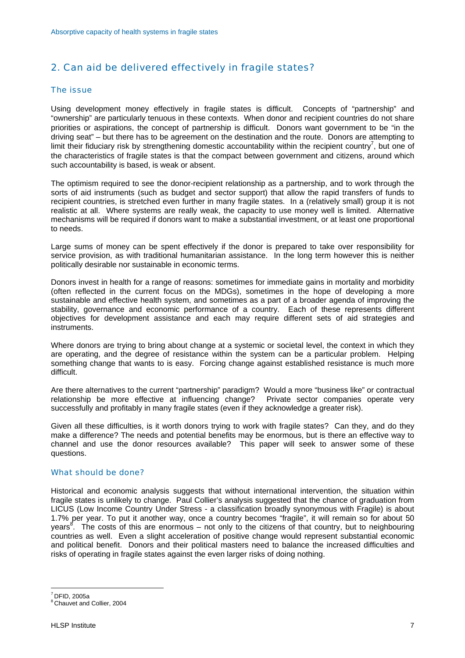# <span id="page-7-0"></span>2. Can aid be delivered effectively in fragile states?

#### The issue

Using development money effectively in fragile states is difficult. Concepts of "partnership" and "ownership" are particularly tenuous in these contexts. When donor and recipient countries do not share priorities or aspirations, the concept of partnership is difficult. Donors want government to be "in the driving seat" – but there has to be agreement on the destination and the route. Donors are attempting to limit their fiduciary risk by strengthening domestic accountability within the recipient country<sup>[7](#page-7-1)</sup>, but one of the characteristics of fragile states is that the compact between government and citizens, around which such accountability is based, is weak or absent.

The optimism required to see the donor-recipient relationship as a partnership, and to work through the sorts of aid instruments (such as budget and sector support) that allow the rapid transfers of funds to recipient countries, is stretched even further in many fragile states. In a (relatively small) group it is not realistic at all. Where systems are really weak, the capacity to use money well is limited. Alternative mechanisms will be required if donors want to make a substantial investment, or at least one proportional to needs.

Large sums of money can be spent effectively if the donor is prepared to take over responsibility for service provision, as with traditional humanitarian assistance. In the long term however this is neither politically desirable nor sustainable in economic terms.

Donors invest in health for a range of reasons: sometimes for immediate gains in mortality and morbidity (often reflected in the current focus on the MDGs), sometimes in the hope of developing a more sustainable and effective health system, and sometimes as a part of a broader agenda of improving the stability, governance and economic performance of a country. Each of these represents different objectives for development assistance and each may require different sets of aid strategies and instruments.

Where donors are trying to bring about change at a systemic or societal level, the context in which they are operating, and the degree of resistance within the system can be a particular problem. Helping something change that wants to is easy. Forcing change against established resistance is much more difficult.

Are there alternatives to the current "partnership" paradigm? Would a more "business like" or contractual relationship be more effective at influencing change? Private sector companies operate very successfully and profitably in many fragile states (even if they acknowledge a greater risk).

Given all these difficulties, is it worth donors trying to work with fragile states? Can they, and do they make a difference? The needs and potential benefits may be enormous, but is there an effective way to channel and use the donor resources available? This paper will seek to answer some of these questions.

#### What should be done?

Historical and economic analysis suggests that without international intervention, the situation within fragile states is unlikely to change. Paul Collier's analysis suggested that the chance of graduation from LICUS (Low Income Country Under Stress - a classification broadly synonymous with Fragile) is about 1.7% per year. To put it another way, once a country becomes "fragile", it will remain so for about 50 years<sup>[8](#page-7-2)</sup>. The costs of this are enormous – not only to the citizens of that country, but to neighbouring countries as well. Even a slight acceleration of positive change would represent substantial economic and political benefit. Donors and their political masters need to balance the increased difficulties and risks of operating in fragile states against the even larger risks of doing nothing.

<span id="page-7-1"></span> $7$  DFID, 2005a

<span id="page-7-2"></span><sup>8</sup> Chauvet and Collier, 2004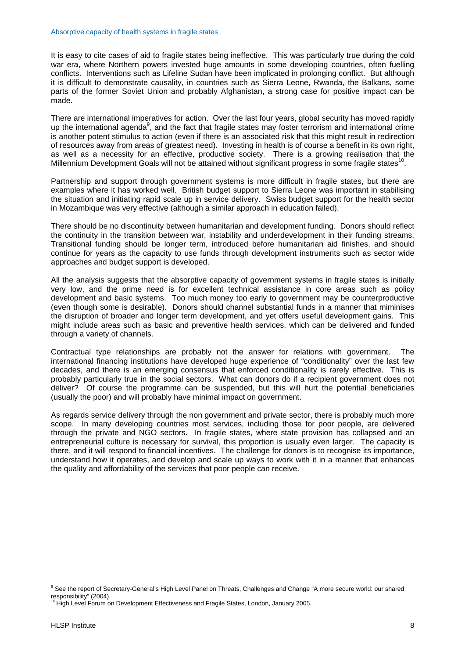It is easy to cite cases of aid to fragile states being ineffective. This was particularly true during the cold war era, where Northern powers invested huge amounts in some developing countries, often fuelling conflicts. Interventions such as Lifeline Sudan have been implicated in prolonging conflict. But although it is difficult to demonstrate causality, in countries such as Sierra Leone, Rwanda, the Balkans, some parts of the former Soviet Union and probably Afghanistan, a strong case for positive impact can be made.

There are international imperatives for action. Over the last four years, global security has moved rapidly up the international agenda<sup>[9](#page-8-0)</sup>, and the fact that fragile states may foster terrorism and international crime is another potent stimulus to action (even if there is an associated risk that this might result in redirection of resources away from areas of greatest need). Investing in health is of course a benefit in its own right, as well as a necessity for an effective, productive society. There is a growing realisation that the Millennium Development Goals will not be attained without significant progress in some fragile states<sup>10</sup>.

Partnership and support through government systems is more difficult in fragile states, but there are examples where it has worked well. British budget support to Sierra Leone was important in stabilising the situation and initiating rapid scale up in service delivery. Swiss budget support for the health sector in Mozambique was very effective (although a similar approach in education failed).

There should be no discontinuity between humanitarian and development funding. Donors should reflect the continuity in the transition between war, instability and underdevelopment in their funding streams. Transitional funding should be longer term, introduced before humanitarian aid finishes, and should continue for years as the capacity to use funds through development instruments such as sector wide approaches and budget support is developed.

All the analysis suggests that the absorptive capacity of government systems in fragile states is initially very low, and the prime need is for excellent technical assistance in core areas such as policy development and basic systems. Too much money too early to government may be counterproductive (even though some is desirable). Donors should channel substantial funds in a manner that miminises the disruption of broader and longer term development, and yet offers useful development gains. This might include areas such as basic and preventive health services, which can be delivered and funded through a variety of channels.

Contractual type relationships are probably not the answer for relations with government. The international financing institutions have developed huge experience of "conditionality" over the last few decades, and there is an emerging consensus that enforced conditionality is rarely effective. This is probably particularly true in the social sectors. What can donors do if a recipient government does not deliver? Of course the programme can be suspended, but this will hurt the potential beneficiaries (usually the poor) and will probably have minimal impact on government.

As regards service delivery through the non government and private sector, there is probably much more scope. In many developing countries most services, including those for poor people, are delivered through the private and NGO sectors. In fragile states, where state provision has collapsed and an entrepreneurial culture is necessary for survival, this proportion is usually even larger. The capacity is there, and it will respond to financial incentives. The challenge for donors is to recognise its importance, understand how it operates, and develop and scale up ways to work with it in a manner that enhances the quality and affordability of the services that poor people can receive.

<span id="page-8-0"></span><sup>&</sup>lt;sup>9</sup> See the report of Secretary-General's High Level Panel on Threats, Challenges and Change "A more secure world: our shared responsibility" (2004)

<span id="page-8-1"></span><sup>&</sup>lt;sup>10</sup> High Level Forum on Development Effectiveness and Fragile States, London, January 2005.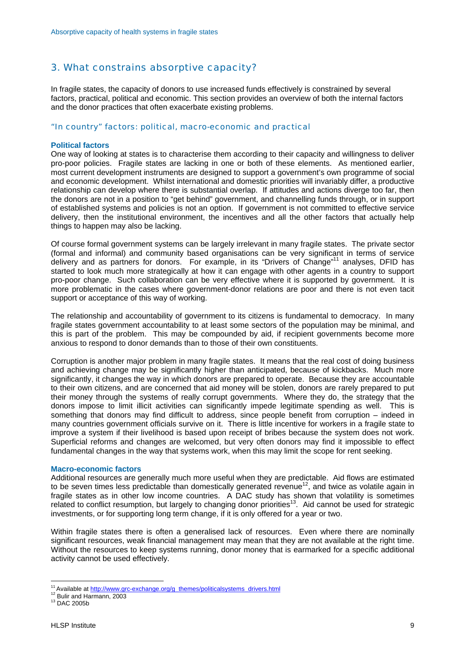# <span id="page-9-0"></span>3. What constrains absorptive capacity?

In fragile states, the capacity of donors to use increased funds effectively is constrained by several factors, practical, political and economic. This section provides an overview of both the internal factors and the donor practices that often exacerbate existing problems.

#### "In country" factors: political, macro-economic and practical

#### **Political factors**

One way of looking at states is to characterise them according to their capacity and willingness to deliver pro-poor policies. Fragile states are lacking in one or both of these elements. As mentioned earlier, most current development instruments are designed to support a government's own programme of social and economic development. Whilst international and domestic priorities will invariably differ, a productive relationship can develop where there is substantial overlap. If attitudes and actions diverge too far, then the donors are not in a position to "get behind" government, and channelling funds through, or in support of established systems and policies is not an option. If government is not committed to effective service delivery, then the institutional environment, the incentives and all the other factors that actually help things to happen may also be lacking.

Of course formal government systems can be largely irrelevant in many fragile states. The private sector (formal and informal) and community based organisations can be very significant in terms of service delivery and as partners for donors. For example, in its "Drivers of Change"[11](#page-9-1) analyses, DFID has started to look much more strategically at how it can engage with other agents in a country to support pro-poor change. Such collaboration can be very effective where it is supported by government. It is more problematic in the cases where government-donor relations are poor and there is not even tacit support or acceptance of this way of working.

The relationship and accountability of government to its citizens is fundamental to democracy. In many fragile states government accountability to at least some sectors of the population may be minimal, and this is part of the problem. This may be compounded by aid, if recipient governments become more anxious to respond to donor demands than to those of their own constituents.

Corruption is another major problem in many fragile states. It means that the real cost of doing business and achieving change may be significantly higher than anticipated, because of kickbacks. Much more significantly, it changes the way in which donors are prepared to operate. Because they are accountable to their own citizens, and are concerned that aid money will be stolen, donors are rarely prepared to put their money through the systems of really corrupt governments. Where they do, the strategy that the donors impose to limit illicit activities can significantly impede legitimate spending as well. This is something that donors may find difficult to address, since people benefit from corruption – indeed in many countries government officials survive on it. There is little incentive for workers in a fragile state to improve a system if their livelihood is based upon receipt of bribes because the system does not work. Superficial reforms and changes are welcomed, but very often donors may find it impossible to effect fundamental changes in the way that systems work, when this may limit the scope for rent seeking.

#### **Macro-economic factors**

Additional resources are generally much more useful when they are predictable. Aid flows are estimated to be seven times less predictable than domestically generated revenue<sup>12</sup>, and twice as volatile again in fragile states as in other low income countries. A DAC study has shown that volatility is sometimes related to conflict resumption, but largely to changing donor priorities<sup>13</sup>. Aid cannot be used for strategic investments, or for supporting long term change, if it is only offered for a year or two.

Within fragile states there is often a generalised lack of resources. Even where there are nominally significant resources, weak financial management may mean that they are not available at the right time. Without the resources to keep systems running, donor money that is earmarked for a specific additional activity cannot be used effectively.

<span id="page-9-1"></span><sup>&</sup>lt;sup>11</sup> Available at http://www.grc-exchange.org/g\_themes/politicalsystems\_drivers.html <sup>12</sup> Bulir and Harmann, 2003<br><sup>13</sup> DAC 2005b

<span id="page-9-2"></span>

<span id="page-9-3"></span>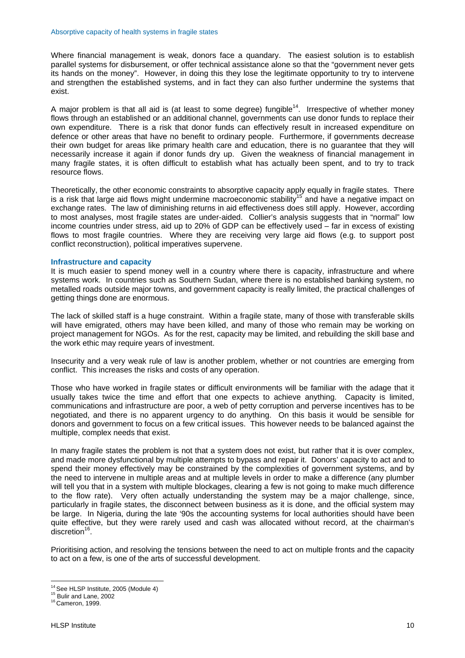Where financial management is weak, donors face a quandary. The easiest solution is to establish parallel systems for disbursement, or offer technical assistance alone so that the "government never gets its hands on the money". However, in doing this they lose the legitimate opportunity to try to intervene and strengthen the established systems, and in fact they can also further undermine the systems that exist.

A major problem is that all aid is (at least to some degree) fungible<sup>14</sup>. Irrespective of whether money flows through an established or an additional channel, governments can use donor funds to replace their own expenditure. There is a risk that donor funds can effectively result in increased expenditure on defence or other areas that have no benefit to ordinary people. Furthermore, if governments decrease their own budget for areas like primary health care and education, there is no guarantee that they will necessarily increase it again if donor funds dry up. Given the weakness of financial management in many fragile states, it is often difficult to establish what has actually been spent, and to try to track resource flows.

Theoretically, the other economic constraints to absorptive capacity apply equally in fragile states. There is a risk that large aid flows might undermine macroeconomic stability<sup>15</sup> and have a negative impact on exchange rates. The law of diminishing returns in aid effectiveness does still apply. However, according to most analyses, most fragile states are under-aided. Collier's analysis suggests that in "normal" low income countries under stress, aid up to 20% of GDP can be effectively used – far in excess of existing flows to most fragile countries. Where they are receiving very large aid flows (e.g. to support post conflict reconstruction), political imperatives supervene.

#### **Infrastructure and capacity**

It is much easier to spend money well in a country where there is capacity, infrastructure and where systems work. In countries such as Southern Sudan, where there is no established banking system, no metalled roads outside major towns, and government capacity is really limited, the practical challenges of getting things done are enormous.

The lack of skilled staff is a huge constraint. Within a fragile state, many of those with transferable skills will have emigrated, others may have been killed, and many of those who remain may be working on project management for NGOs. As for the rest, capacity may be limited, and rebuilding the skill base and the work ethic may require years of investment.

Insecurity and a very weak rule of law is another problem, whether or not countries are emerging from conflict. This increases the risks and costs of any operation.

Those who have worked in fragile states or difficult environments will be familiar with the adage that it usually takes twice the time and effort that one expects to achieve anything. Capacity is limited, communications and infrastructure are poor, a web of petty corruption and perverse incentives has to be negotiated, and there is no apparent urgency to do anything. On this basis it would be sensible for donors and government to focus on a few critical issues. This however needs to be balanced against the multiple, complex needs that exist.

In many fragile states the problem is not that a system does not exist, but rather that it is over complex, and made more dysfunctional by multiple attempts to bypass and repair it. Donors' capacity to act and to spend their money effectively may be constrained by the complexities of government systems, and by the need to intervene in multiple areas and at multiple levels in order to make a difference (any plumber will tell you that in a system with multiple blockages, clearing a few is not going to make much difference to the flow rate). Very often actually understanding the system may be a major challenge, since, particularly in fragile states, the disconnect between business as it is done, and the official system may be large. In Nigeria, during the late '90s the accounting systems for local authorities should have been quite effective, but they were rarely used and cash was allocated without record, at the chairman's  $discretion<sup>16</sup>$ .

Prioritising action, and resolving the tensions between the need to act on multiple fronts and the capacity to act on a few, is one of the arts of successful development.

<span id="page-10-0"></span><sup>&</sup>lt;sup>14</sup> See HLSP Institute, 2005 (Module 4)<br><sup>15</sup> Bulir and Lane, 2002<br><sup>16</sup> Cameron, 1999.

<span id="page-10-1"></span>

<span id="page-10-2"></span>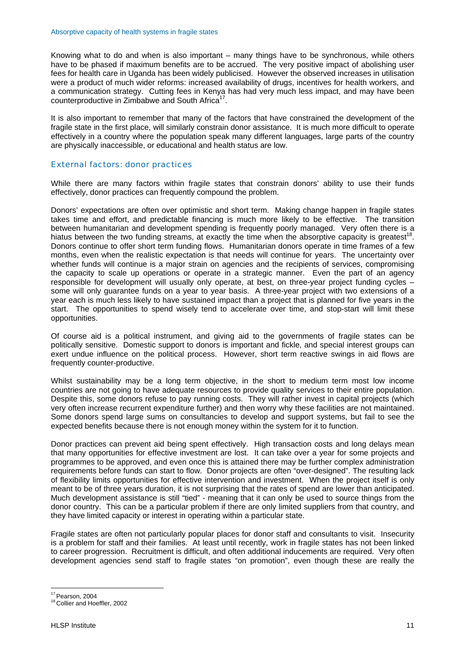Knowing what to do and when is also important – many things have to be synchronous, while others have to be phased if maximum benefits are to be accrued. The very positive impact of abolishing user fees for health care in Uganda has been widely publicised. However the observed increases in utilisation were a product of much wider reforms: increased availability of drugs, incentives for health workers, and a communication strategy. Cutting fees in Kenya has had very much less impact, and may have been counterproductive in Zimbabwe and South Africa<sup>1</sup>

It is also important to remember that many of the factors that have constrained the development of the fragile state in the first place, will similarly constrain donor assistance. It is much more difficult to operate effectively in a country where the population speak many different languages, large parts of the country are physically inaccessible, or educational and health status are low.

#### External factors: donor practices

While there are many factors within fragile states that constrain donors' ability to use their funds effectively, donor practices can frequently compound the problem.

Donors' expectations are often over optimistic and short term. Making change happen in fragile states takes time and effort, and predictable financing is much more likely to be effective. The transition between humanitarian and development spending is frequently poorly managed. Very often there is a hiatus between the two funding streams, at exactly the time when the absorptive capacity is greatest<sup>18</sup>. Donors continue to offer short term funding flows. Humanitarian donors operate in time frames of a few months, even when the realistic expectation is that needs will continue for years. The uncertainty over whether funds will continue is a major strain on agencies and the recipients of services, compromising the capacity to scale up operations or operate in a strategic manner. Even the part of an agency responsible for development will usually only operate, at best, on three-year project funding cycles – some will only guarantee funds on a year to year basis. A three-year project with two extensions of a year each is much less likely to have sustained impact than a project that is planned for five years in the start. The opportunities to spend wisely tend to accelerate over time, and stop-start will limit these opportunities.

Of course aid is a political instrument, and giving aid to the governments of fragile states can be politically sensitive. Domestic support to donors is important and fickle, and special interest groups can exert undue influence on the political process. However, short term reactive swings in aid flows are frequently counter-productive.

Whilst sustainability may be a long term objective, in the short to medium term most low income countries are not going to have adequate resources to provide quality services to their entire population. Despite this, some donors refuse to pay running costs. They will rather invest in capital projects (which very often increase recurrent expenditure further) and then worry why these facilities are not maintained. Some donors spend large sums on consultancies to develop and support systems, but fail to see the expected benefits because there is not enough money within the system for it to function.

Donor practices can prevent aid being spent effectively. High transaction costs and long delays mean that many opportunities for effective investment are lost. It can take over a year for some projects and programmes to be approved, and even once this is attained there may be further complex administration requirements before funds can start to flow. Donor projects are often "over-designed". The resulting lack of flexibility limits opportunities for effective intervention and investment. When the project itself is only meant to be of three years duration, it is not surprising that the rates of spend are lower than anticipated. Much development assistance is still "tied" - meaning that it can only be used to source things from the donor country. This can be a particular problem if there are only limited suppliers from that country, and they have limited capacity or interest in operating within a particular state.

Fragile states are often not particularly popular places for donor staff and consultants to visit. Insecurity is a problem for staff and their families. At least until recently, work in fragile states has not been linked to career progression. Recruitment is difficult, and often additional inducements are required. Very often development agencies send staff to fragile states "on promotion", even though these are really the

<span id="page-11-0"></span><sup>&</sup>lt;sup>17</sup> Pearson, 2004

<span id="page-11-1"></span><sup>&</sup>lt;sup>18</sup> Collier and Hoeffler, 2002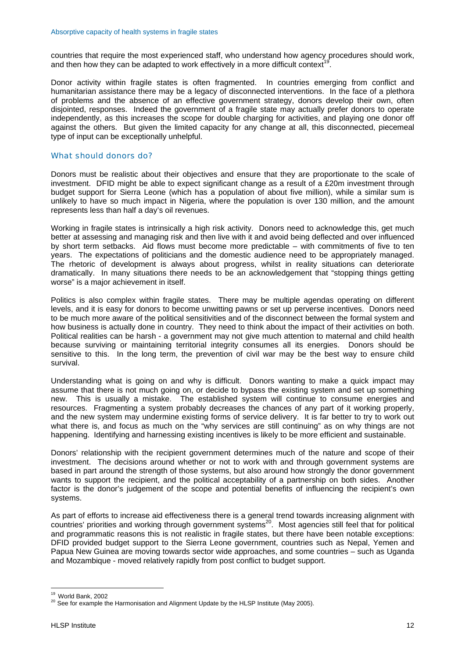countries that require the most experienced staff, who understand how agency procedures should work, and then how they can be adapted to work effectively in a more difficult context

Donor activity within fragile states is often fragmented. In countries emerging from conflict and humanitarian assistance there may be a legacy of disconnected interventions. In the face of a plethora of problems and the absence of an effective government strategy, donors develop their own, often disjointed, responses. Indeed the government of a fragile state may actually prefer donors to operate independently, as this increases the scope for double charging for activities, and playing one donor off against the others. But given the limited capacity for any change at all, this disconnected, piecemeal type of input can be exceptionally unhelpful.

#### What should donors do?

Donors must be realistic about their objectives and ensure that they are proportionate to the scale of investment. DFID might be able to expect significant change as a result of a £20m investment through budget support for Sierra Leone (which has a population of about five million), while a similar sum is unlikely to have so much impact in Nigeria, where the population is over 130 million, and the amount represents less than half a day's oil revenues.

Working in fragile states is intrinsically a high risk activity. Donors need to acknowledge this, get much better at assessing and managing risk and then live with it and avoid being deflected and over influenced by short term setbacks. Aid flows must become more predictable – with commitments of five to ten years. The expectations of politicians and the domestic audience need to be appropriately managed. The rhetoric of development is always about progress, whilst in reality situations can deteriorate dramatically. In many situations there needs to be an acknowledgement that "stopping things getting worse" is a major achievement in itself.

Politics is also complex within fragile states. There may be multiple agendas operating on different levels, and it is easy for donors to become unwitting pawns or set up perverse incentives. Donors need to be much more aware of the political sensitivities and of the disconnect between the formal system and how business is actually done in country. They need to think about the impact of their activities on both. Political realities can be harsh - a government may not give much attention to maternal and child health because surviving or maintaining territorial integrity consumes all its energies. Donors should be sensitive to this. In the long term, the prevention of civil war may be the best way to ensure child survival.

Understanding what is going on and why is difficult. Donors wanting to make a quick impact may assume that there is not much going on, or decide to bypass the existing system and set up something new. This is usually a mistake. The established system will continue to consume energies and resources. Fragmenting a system probably decreases the chances of any part of it working properly, and the new system may undermine existing forms of service delivery. It is far better to try to work out what there is, and focus as much on the "why services are still continuing" as on why things are not happening. Identifying and harnessing existing incentives is likely to be more efficient and sustainable.

Donors' relationship with the recipient government determines much of the nature and scope of their investment. The decisions around whether or not to work with and through government systems are based in part around the strength of those systems, but also around how strongly the donor government wants to support the recipient, and the political acceptability of a partnership on both sides. Another factor is the donor's judgement of the scope and potential benefits of influencing the recipient's own systems.

As part of efforts to increase aid effectiveness there is a general trend towards increasing alignment with countries' priorities and working through government systems<sup>20</sup>. Most agencies still feel that for political and programmatic reasons this is not realistic in fragile states, but there have been notable exceptions: DFID provided budget support to the Sierra Leone government, countries such as Nepal, Yemen and Papua New Guinea are moving towards sector wide approaches, and some countries – such as Uganda and Mozambique - moved relatively rapidly from post conflict to budget support.

<span id="page-12-0"></span><sup>&</sup>lt;sup>19</sup> World Bank, 2002

<span id="page-12-1"></span> $20$  See for example the Harmonisation and Alignment Update by the HLSP Institute (May 2005).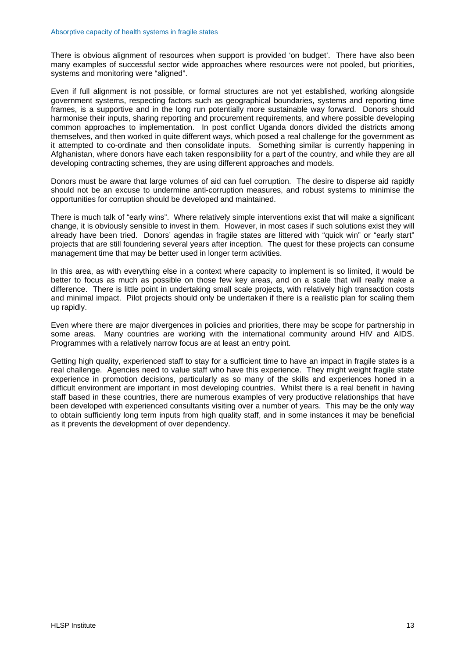There is obvious alignment of resources when support is provided 'on budget'. There have also been many examples of successful sector wide approaches where resources were not pooled, but priorities, systems and monitoring were "aligned".

Even if full alignment is not possible, or formal structures are not yet established, working alongside government systems, respecting factors such as geographical boundaries, systems and reporting time frames, is a supportive and in the long run potentially more sustainable way forward. Donors should harmonise their inputs, sharing reporting and procurement requirements, and where possible developing common approaches to implementation. In post conflict Uganda donors divided the districts among themselves, and then worked in quite different ways, which posed a real challenge for the government as it attempted to co-ordinate and then consolidate inputs. Something similar is currently happening in Afghanistan, where donors have each taken responsibility for a part of the country, and while they are all developing contracting schemes, they are using different approaches and models.

Donors must be aware that large volumes of aid can fuel corruption. The desire to disperse aid rapidly should not be an excuse to undermine anti-corruption measures, and robust systems to minimise the opportunities for corruption should be developed and maintained.

There is much talk of "early wins". Where relatively simple interventions exist that will make a significant change, it is obviously sensible to invest in them. However, in most cases if such solutions exist they will already have been tried. Donors' agendas in fragile states are littered with "quick win" or "early start" projects that are still foundering several years after inception. The quest for these projects can consume management time that may be better used in longer term activities.

In this area, as with everything else in a context where capacity to implement is so limited, it would be better to focus as much as possible on those few key areas, and on a scale that will really make a difference. There is little point in undertaking small scale projects, with relatively high transaction costs and minimal impact. Pilot projects should only be undertaken if there is a realistic plan for scaling them up rapidly.

Even where there are major divergences in policies and priorities, there may be scope for partnership in some areas. Many countries are working with the international community around HIV and AIDS. Programmes with a relatively narrow focus are at least an entry point.

Getting high quality, experienced staff to stay for a sufficient time to have an impact in fragile states is a real challenge. Agencies need to value staff who have this experience. They might weight fragile state experience in promotion decisions, particularly as so many of the skills and experiences honed in a difficult environment are important in most developing countries. Whilst there is a real benefit in having staff based in these countries, there are numerous examples of very productive relationships that have been developed with experienced consultants visiting over a number of years. This may be the only way to obtain sufficiently long term inputs from high quality staff, and in some instances it may be beneficial as it prevents the development of over dependency.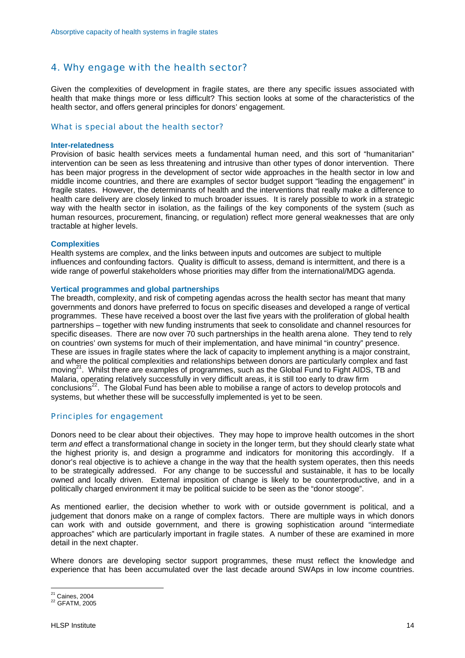# <span id="page-14-0"></span>4. Why engage with the health sector?

Given the complexities of development in fragile states, are there any specific issues associated with health that make things more or less difficult? This section looks at some of the characteristics of the health sector, and offers general principles for donors' engagement.

#### What is special about the health sector?

#### **Inter-relatedness**

Provision of basic health services meets a fundamental human need, and this sort of "humanitarian" intervention can be seen as less threatening and intrusive than other types of donor intervention. There has been major progress in the development of sector wide approaches in the health sector in low and middle income countries, and there are examples of sector budget support "leading the engagement" in fragile states. However, the determinants of health and the interventions that really make a difference to health care delivery are closely linked to much broader issues. It is rarely possible to work in a strategic way with the health sector in isolation, as the failings of the key components of the system (such as human resources, procurement, financing, or regulation) reflect more general weaknesses that are only tractable at higher levels.

#### **Complexities**

Health systems are complex, and the links between inputs and outcomes are subject to multiple influences and confounding factors. Quality is difficult to assess, demand is intermittent, and there is a wide range of powerful stakeholders whose priorities may differ from the international/MDG agenda.

#### **Vertical programmes and global partnerships**

The breadth, complexity, and risk of competing agendas across the health sector has meant that many governments and donors have preferred to focus on specific diseases and developed a range of vertical programmes. These have received a boost over the last five years with the proliferation of global health partnerships – together with new funding instruments that seek to consolidate and channel resources for specific diseases. There are now over 70 such partnerships in the health arena alone. They tend to rely on countries' own systems for much of their implementation, and have minimal "in country" presence. These are issues in fragile states where the lack of capacity to implement anything is a major constraint, and where the political complexities and relationships between donors are particularly complex and fast moving $2^2$ . Whilst there are examples of programmes, such as the Global Fund to Fight AIDS, TB and Malaria, operating relatively successfully in very difficult areas, it is still too early to draw firm conclusions<sup>22</sup>. The Global Fund has been able to mobilise a range of actors to develop protocols and systems, but whether these will be successfully implemented is yet to be seen.

#### Principles for engagement

Donors need to be clear about their objectives. They may hope to improve health outcomes in the short term *and* effect a transformational change in society in the longer term, but they should clearly state what the highest priority is, and design a programme and indicators for monitoring this accordingly. If a donor's real objective is to achieve a change in the way that the health system operates, then this needs to be strategically addressed. For any change to be successful and sustainable, it has to be locally owned and locally driven. External imposition of change is likely to be counterproductive, and in a politically charged environment it may be political suicide to be seen as the "donor stooge".

As mentioned earlier, the decision whether to work with or outside government is political, and a judgement that donors make on a range of complex factors. There are multiple ways in which donors can work with and outside government, and there is growing sophistication around "intermediate approaches" which are particularly important in fragile states. A number of these are examined in more detail in the next chapter.

Where donors are developing sector support programmes, these must reflect the knowledge and experience that has been accumulated over the last decade around SWAps in low income countries.

<span id="page-14-1"></span> $21$  Caines, 2004

<span id="page-14-2"></span><sup>&</sup>lt;sup>22</sup> GFATM, 2005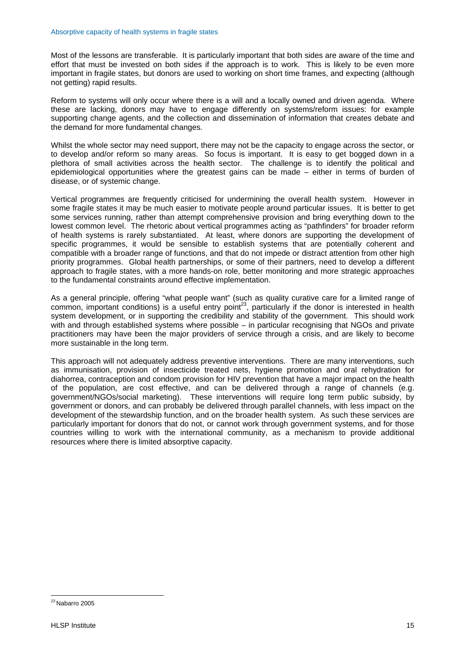Most of the lessons are transferable. It is particularly important that both sides are aware of the time and effort that must be invested on both sides if the approach is to work. This is likely to be even more important in fragile states, but donors are used to working on short time frames, and expecting (although not getting) rapid results.

Reform to systems will only occur where there is a will and a locally owned and driven agenda. Where these are lacking, donors may have to engage differently on systems/reform issues: for example supporting change agents, and the collection and dissemination of information that creates debate and the demand for more fundamental changes.

Whilst the whole sector may need support, there may not be the capacity to engage across the sector, or to develop and/or reform so many areas. So focus is important. It is easy to get bogged down in a plethora of small activities across the health sector. The challenge is to identify the political and epidemiological opportunities where the greatest gains can be made – either in terms of burden of disease, or of systemic change.

Vertical programmes are frequently criticised for undermining the overall health system. However in some fragile states it may be much easier to motivate people around particular issues. It is better to get some services running, rather than attempt comprehensive provision and bring everything down to the lowest common level. The rhetoric about vertical programmes acting as "pathfinders" for broader reform of health systems is rarely substantiated. At least, where donors are supporting the development of specific programmes, it would be sensible to establish systems that are potentially coherent and compatible with a broader range of functions, and that do not impede or distract attention from other high priority programmes. Global health partnerships, or some of their partners, need to develop a different approach to fragile states, with a more hands-on role, better monitoring and more strategic approaches to the fundamental constraints around effective implementation.

As a general principle, offering "what people want" (such as quality curative care for a limited range of common, important conditions) is a useful entry point<sup>23</sup>, particularly if the donor is interested in health system development, or in supporting the credibility and stability of the government. This should work with and through established systems where possible – in particular recognising that NGOs and private practitioners may have been the major providers of service through a crisis, and are likely to become more sustainable in the long term.

This approach will not adequately address preventive interventions. There are many interventions, such as immunisation, provision of insecticide treated nets, hygiene promotion and oral rehydration for diahorrea, contraception and condom provision for HIV prevention that have a major impact on the health of the population, are cost effective, and can be delivered through a range of channels (e.g. government/NGOs/social marketing). These interventions will require long term public subsidy, by government or donors, and can probably be delivered through parallel channels, with less impact on the development of the stewardship function, and on the broader health system. As such these services are particularly important for donors that do not, or cannot work through government systems, and for those countries willing to work with the international community, as a mechanism to provide additional resources where there is limited absorptive capacity.

<span id="page-15-0"></span> $\overline{a}$  $^{23}$ Nabarro 2005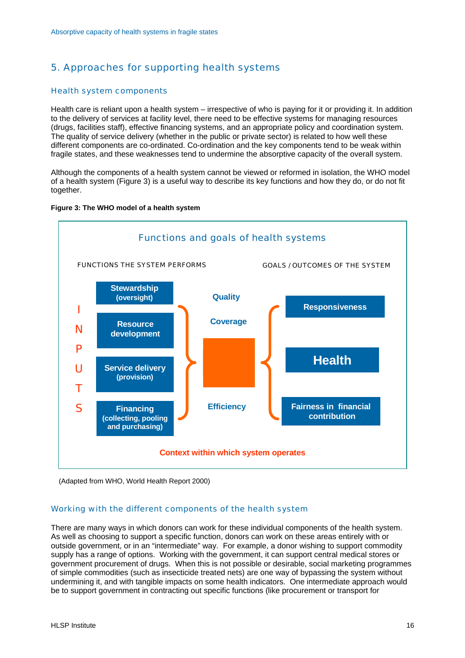# <span id="page-16-0"></span>5. Approaches for supporting health systems

#### Health system components

Health care is reliant upon a health system – irrespective of who is paying for it or providing it. In addition to the delivery of services at facility level, there need to be effective systems for managing resources (drugs, facilities staff), effective financing systems, and an appropriate policy and coordination system. The quality of service delivery (whether in the public or private sector) is related to how well these different components are co-ordinated. Co-ordination and the key components tend to be weak within fragile states, and these weaknesses tend to undermine the absorptive capacity of the overall system.

Although the components of a health system cannot be viewed or reformed in isolation, the WHO model of a health system (Figure 3) is a useful way to describe its key functions and how they do, or do not fit together.





 <sup>(</sup>Adapted from WHO, World Health Report 2000)

#### Working with the different components of the health system

There are many ways in which donors can work for these individual components of the health system. As well as choosing to support a specific function, donors can work on these areas entirely with or outside government, or in an "intermediate" way. For example, a donor wishing to support commodity supply has a range of options. Working with the government, it can support central medical stores or government procurement of drugs. When this is not possible or desirable, social marketing programmes of simple commodities (such as insecticide treated nets) are one way of bypassing the system without undermining it, and with tangible impacts on some health indicators. One intermediate approach would be to support government in contracting out specific functions (like procurement or transport for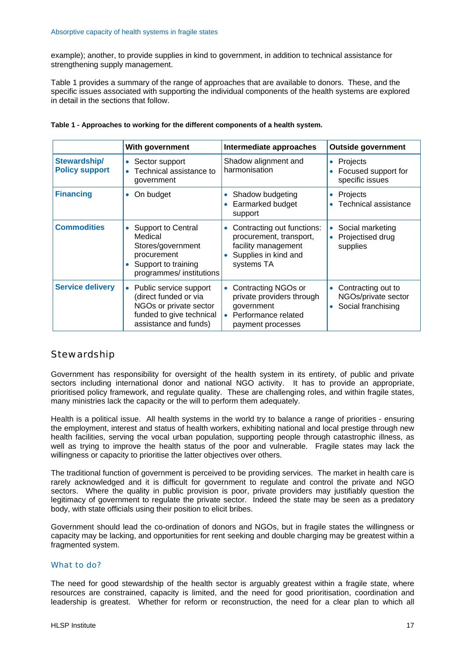example); another, to provide supplies in kind to government, in addition to technical assistance for strengthening supply management.

Table 1 provides a summary of the range of approaches that are available to donors. These, and the specific issues associated with supporting the individual components of the health systems are explored in detail in the sections that follow.

|                                       | With government                                                                                                                             | Intermediate approaches                                                                                                         | <b>Outside government</b>                                            |
|---------------------------------------|---------------------------------------------------------------------------------------------------------------------------------------------|---------------------------------------------------------------------------------------------------------------------------------|----------------------------------------------------------------------|
| Stewardship/<br><b>Policy support</b> | Sector support<br>$\bullet$<br>Technical assistance to<br>$\bullet$<br>government                                                           | Shadow alignment and<br>harmonisation                                                                                           | Projects<br>$\bullet$<br>Focused support for<br>specific issues      |
| <b>Financing</b>                      | On budget<br>$\bullet$                                                                                                                      | Shadow budgeting<br>$\bullet$<br>Earmarked budget<br>support                                                                    | Projects<br>$\bullet$<br><b>Technical assistance</b>                 |
| <b>Commodities</b>                    | <b>Support to Central</b><br>$\bullet$<br>Medical<br>Stores/government<br>procurement<br>Support to training<br>programmes/ institutions    | Contracting out functions:<br>$\bullet$<br>procurement, transport,<br>facility management<br>Supplies in kind and<br>systems TA | Social marketing<br>$\bullet$<br>Projectised drug<br>supplies        |
| <b>Service delivery</b>               | Public service support<br>$\bullet$<br>(direct funded or via<br>NGOs or private sector<br>funded to give technical<br>assistance and funds) | Contracting NGOs or<br>$\bullet$<br>private providers through<br>government<br>Performance related<br>payment processes         | Contracting out to<br>۰<br>NGOs/private sector<br>Social franchising |

| Table 1 - Approaches to working for the different components of a health system. |  |  |  |  |
|----------------------------------------------------------------------------------|--|--|--|--|
|----------------------------------------------------------------------------------|--|--|--|--|

# **Stewardship**

Government has responsibility for oversight of the health system in its entirety, of public and private sectors including international donor and national NGO activity. It has to provide an appropriate, prioritised policy framework, and regulate quality. These are challenging roles, and within fragile states, many ministries lack the capacity or the will to perform them adequately.

Health is a political issue. All health systems in the world try to balance a range of priorities - ensuring the employment, interest and status of health workers, exhibiting national and local prestige through new health facilities, serving the vocal urban population, supporting people through catastrophic illness, as well as trying to improve the health status of the poor and vulnerable. Fragile states may lack the willingness or capacity to prioritise the latter objectives over others.

The traditional function of government is perceived to be providing services. The market in health care is rarely acknowledged and it is difficult for government to regulate and control the private and NGO sectors. Where the quality in public provision is poor, private providers may justifiably question the legitimacy of government to regulate the private sector. Indeed the state may be seen as a predatory body, with state officials using their position to elicit bribes.

Government should lead the co-ordination of donors and NGOs, but in fragile states the willingness or capacity may be lacking, and opportunities for rent seeking and double charging may be greatest within a fragmented system.

#### What to do?

The need for good stewardship of the health sector is arguably greatest within a fragile state, where resources are constrained, capacity is limited, and the need for good prioritisation, coordination and leadership is greatest. Whether for reform or reconstruction, the need for a clear plan to which all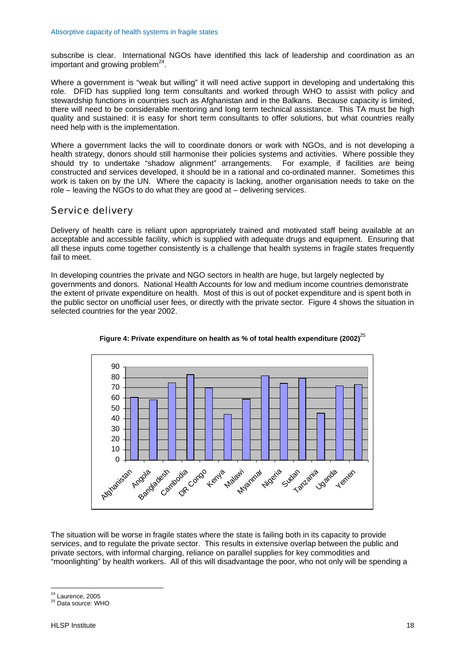subscribe is clear. International NGOs have identified this lack of leadership and coordination as an important and growing problem $^{24}$ .

Where a government is "weak but willing" it will need active support in developing and undertaking this role. DFID has supplied long term consultants and worked through WHO to assist with policy and stewardship functions in countries such as Afghanistan and in the Balkans. Because capacity is limited, there will need to be considerable mentoring and long term technical assistance. This TA must be high quality and sustained: it is easy for short term consultants to offer solutions, but what countries really need help with is the implementation.

Where a government lacks the will to coordinate donors or work with NGOs, and is not developing a health strategy, donors should still harmonise their policies systems and activities. Where possible they should try to undertake "shadow alignment" arrangements. For example, if facilities are being constructed and services developed, it should be in a rational and co-ordinated manner. Sometimes this work is taken on by the UN. Where the capacity is lacking, another organisation needs to take on the role – leaving the NGOs to do what they are good at – delivering services.

# Service delivery

Delivery of health care is reliant upon appropriately trained and motivated staff being available at an acceptable and accessible facility, which is supplied with adequate drugs and equipment. Ensuring that all these inputs come together consistently is a challenge that health systems in fragile states frequently fail to meet.

In developing countries the private and NGO sectors in health are huge, but largely neglected by governments and donors. National Health Accounts for low and medium income countries demonstrate the extent of private expenditure on health. Most of this is out of pocket expenditure and is spent both in the public sector on unofficial user fees, or directly with the private sector. Figure 4 shows the situation in selected countries for the year 2002.

![](_page_18_Figure_7.jpeg)

![](_page_18_Figure_8.jpeg)

The situation will be worse in fragile states where the state is failing both in its capacity to provide services, and to regulate the private sector. This results in extensive overlap between the public and private sectors, with informal charging, reliance on parallel supplies for key commodities and "moonlighting" by health workers. All of this will disadvantage the poor, who not only will be spending a

<span id="page-18-0"></span> $24$  Laurence, 2005

<span id="page-18-1"></span> $25$  Data source: WHO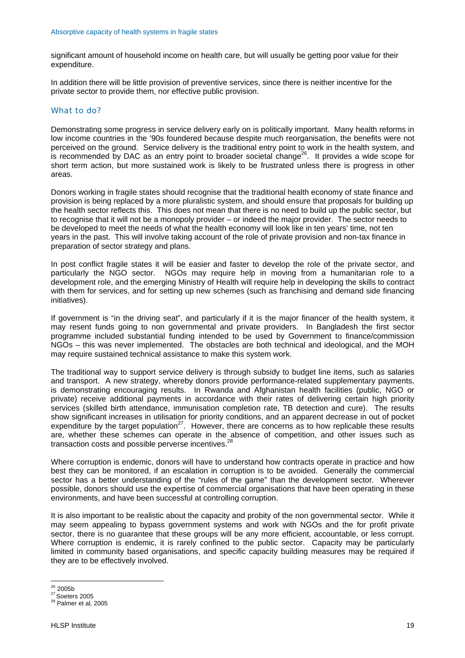significant amount of household income on health care, but will usually be getting poor value for their expenditure.

In addition there will be little provision of preventive services, since there is neither incentive for the private sector to provide them, nor effective public provision.

#### What to do?

Demonstrating some progress in service delivery early on is politically important. Many health reforms in low income countries in the '90s foundered because despite much reorganisation, the benefits were not perceived on the ground. Service delivery is the traditional entry point to work in the health system, and is recommended by DAC as an entry point to broader societal change<sup>26</sup>. It provides a wide scope for short term action, but more sustained work is likely to be frustrated unless there is progress in other areas.

Donors working in fragile states should recognise that the traditional health economy of state finance and provision is being replaced by a more pluralistic system, and should ensure that proposals for building up the health sector reflects this. This does not mean that there is no need to build up the public sector, but to recognise that it will not be a monopoly provider – or indeed the major provider. The sector needs to be developed to meet the needs of what the health economy will look like in ten years' time, not ten years in the past. This will involve taking account of the role of private provision and non-tax finance in preparation of sector strategy and plans.

In post conflict fragile states it will be easier and faster to develop the role of the private sector, and particularly the NGO sector. NGOs may require help in moving from a humanitarian role to a development role, and the emerging Ministry of Health will require help in developing the skills to contract with them for services, and for setting up new schemes (such as franchising and demand side financing initiatives).

If government is "in the driving seat", and particularly if it is the major financer of the health system, it may resent funds going to non governmental and private providers. In Bangladesh the first sector programme included substantial funding intended to be used by Government to finance/commission NGOs – this was never implemented. The obstacles are both technical and ideological, and the MOH may require sustained technical assistance to make this system work.

The traditional way to support service delivery is through subsidy to budget line items, such as salaries and transport. A new strategy, whereby donors provide performance-related supplementary payments, is demonstrating encouraging results. In Rwanda and Afghanistan health facilities (public, NGO or private) receive additional payments in accordance with their rates of delivering certain high priority services (skilled birth attendance, immunisation completion rate, TB detection and cure). The results show significant increases in utilisation for priority conditions, and an apparent decrease in out of pocket expenditure by the target population<sup>27</sup>. However, there are concerns as to how replicable these results are, whether these schemes can operate in the absence of competition, and other issues such as transaction costs and possible perverse incentives.<sup>2</sup>

Where corruption is endemic, donors will have to understand how contracts operate in practice and how best they can be monitored, if an escalation in corruption is to be avoided. Generally the commercial sector has a better understanding of the "rules of the game" than the development sector. Wherever possible, donors should use the expertise of commercial organisations that have been operating in these environments, and have been successful at controlling corruption.

It is also important to be realistic about the capacity and probity of the non governmental sector. While it may seem appealing to bypass government systems and work with NGOs and the for profit private sector, there is no guarantee that these groups will be any more efficient, accountable, or less corrupt. Where corruption is endemic, it is rarely confined to the public sector. Capacity may be particularly limited in community based organisations, and specific capacity building measures may be required if they are to be effectively involved.

<span id="page-19-0"></span> $26$  2005b

<span id="page-19-1"></span> $\frac{27}{28}$  Soeters 2005<br>
<sup>28</sup> Palmer et al, 2005

<span id="page-19-2"></span>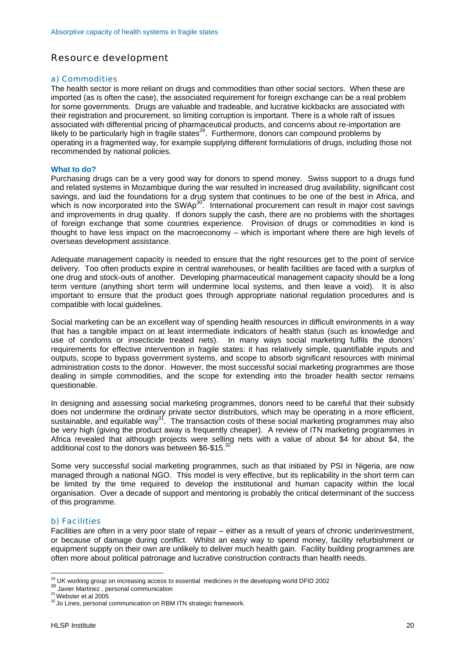# Resource development

#### a) Commodities

The health sector is more reliant on drugs and commodities than other social sectors. When these are imported (as is often the case), the associated requirement for foreign exchange can be a real problem for some governments. Drugs are valuable and tradeable, and lucrative kickbacks are associated with their registration and procurement, so limiting corruption is important. There is a whole raft of issues associated with differential pricing of pharmaceutical products, and concerns about re-importation are likely to be particularly high in fragile states<sup>29</sup>. Furthermore, donors can compound problems by operating in a fragmented way, for example supplying different formulations of drugs, including those not recommended by national policies.

#### **What to do?**

Purchasing drugs can be a very good way for donors to spend money. Swiss support to a drugs fund and related systems in Mozambique during the war resulted in increased drug availability, significant cost savings, and laid the foundations for a drug system that continues to be one of the best in Africa, and which is now incorporated into the SWAp<sup>30</sup>. International procurement can result in major cost savings and improvements in drug quality. If donors supply the cash, there are no problems with the shortages of foreign exchange that some countries experience. Provision of drugs or commodities in kind is thought to have less impact on the macroeconomy – which is important where there are high levels of overseas development assistance.

Adequate management capacity is needed to ensure that the right resources get to the point of service delivery. Too often products expire in central warehouses, or health facilities are faced with a surplus of one drug and stock-outs of another. Developing pharmaceutical management capacity should be a long term venture (anything short term will undermine local systems, and then leave a void). It is also important to ensure that the product goes through appropriate national regulation procedures and is compatible with local guidelines.

Social marketing can be an excellent way of spending health resources in difficult environments in a way that has a tangible impact on at least intermediate indicators of health status (such as knowledge and use of condoms or insecticide treated nets). In many ways social marketing fulfils the donors' requirements for effective intervention in fragile states: it has relatively simple, quantifiable inputs and outputs, scope to bypass government systems, and scope to absorb significant resources with minimal administration costs to the donor. However, the most successful social marketing programmes are those dealing in simple commodities, and the scope for extending into the broader health sector remains questionable.

In designing and assessing social marketing programmes, donors need to be careful that their subsidy does not undermine the ordinary private sector distributors, which may be operating in a more efficient, sustainable, and equitable way<sup>31</sup>. The transaction costs of these social marketing programmes may also be very high (giving the product away is frequently cheaper). A review of ITN marketing programmes in Africa revealed that although projects were selling nets with a value of about \$4 for about \$4, the additional cost to the donors was between \$6-\$15.3

Some very successful social marketing programmes, such as that initiated by PSI in Nigeria, are now managed through a national NGO. This model is very effective, but its replicability in the short term can be limited by the time required to develop the institutional and human capacity within the local organisation. Over a decade of support and mentoring is probably the critical determinant of the success of this programme.

#### b) Facilities

Facilities are often in a very poor state of repair – either as a result of years of chronic underinvestment, or because of damage during conflict. Whilst an easy way to spend money, facility refurbishment or equipment supply on their own are unlikely to deliver much health gain. Facility building programmes are often more about political patronage and lucrative construction contracts than health needs.

 $\overline{a}$ <sup>29</sup> UK working group on increasing access to essential medicines in the developing world DFID 2002<br><sup>30</sup> Javier Martinez , personal communication<br><sup>31</sup> Webster et al 2005<br><sup>32</sup> Jo Lines, personal communication on RBM ITN str

<span id="page-20-1"></span><span id="page-20-0"></span>

<span id="page-20-2"></span>

<span id="page-20-3"></span>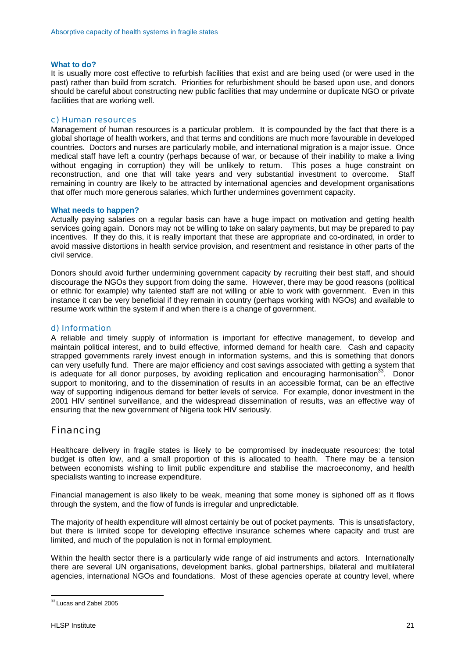#### **What to do?**

It is usually more cost effective to refurbish facilities that exist and are being used (or were used in the past) rather than build from scratch. Priorities for refurbishment should be based upon use, and donors should be careful about constructing new public facilities that may undermine or duplicate NGO or private facilities that are working well.

#### c) Human resources

Management of human resources is a particular problem. It is compounded by the fact that there is a global shortage of health workers, and that terms and conditions are much more favourable in developed countries. Doctors and nurses are particularly mobile, and international migration is a major issue. Once medical staff have left a country (perhaps because of war, or because of their inability to make a living without engaging in corruption) they will be unlikely to return. This poses a huge constraint on reconstruction, and one that will take years and very substantial investment to overcome. Staff remaining in country are likely to be attracted by international agencies and development organisations that offer much more generous salaries, which further undermines government capacity.

#### **What needs to happen?**

Actually paying salaries on a regular basis can have a huge impact on motivation and getting health services going again. Donors may not be willing to take on salary payments, but may be prepared to pay incentives. If they do this, it is really important that these are appropriate and co-ordinated, in order to avoid massive distortions in health service provision, and resentment and resistance in other parts of the civil service.

Donors should avoid further undermining government capacity by recruiting their best staff, and should discourage the NGOs they support from doing the same. However, there may be good reasons (political or ethnic for example) why talented staff are not willing or able to work with government. Even in this instance it can be very beneficial if they remain in country (perhaps working with NGOs) and available to resume work within the system if and when there is a change of government.

#### d) Information

A reliable and timely supply of information is important for effective management, to develop and maintain political interest, and to build effective, informed demand for health care. Cash and capacity strapped governments rarely invest enough in information systems, and this is something that donors can very usefully fund. There are major efficiency and cost savings associated with getting a system that is adequate for all donor purposes, by avoiding replication and encouraging harmonisation<sup>33</sup>. Donor support to monitoring, and to the dissemination of results in an accessible format, can be an effective way of supporting indigenous demand for better levels of service. For example, donor investment in the 2001 HIV sentinel surveillance, and the widespread dissemination of results, was an effective way of ensuring that the new government of Nigeria took HIV seriously.

### Financing

Healthcare delivery in fragile states is likely to be compromised by inadequate resources: the total budget is often low, and a small proportion of this is allocated to health. There may be a tension between economists wishing to limit public expenditure and stabilise the macroeconomy, and health specialists wanting to increase expenditure.

Financial management is also likely to be weak, meaning that some money is siphoned off as it flows through the system, and the flow of funds is irregular and unpredictable.

The majority of health expenditure will almost certainly be out of pocket payments. This is unsatisfactory, but there is limited scope for developing effective insurance schemes where capacity and trust are limited, and much of the population is not in formal employment.

Within the health sector there is a particularly wide range of aid instruments and actors. Internationally there are several UN organisations, development banks, global partnerships, bilateral and multilateral agencies, international NGOs and foundations. Most of these agencies operate at country level, where

<span id="page-21-0"></span><sup>&</sup>lt;sup>33</sup> Lucas and Zabel 2005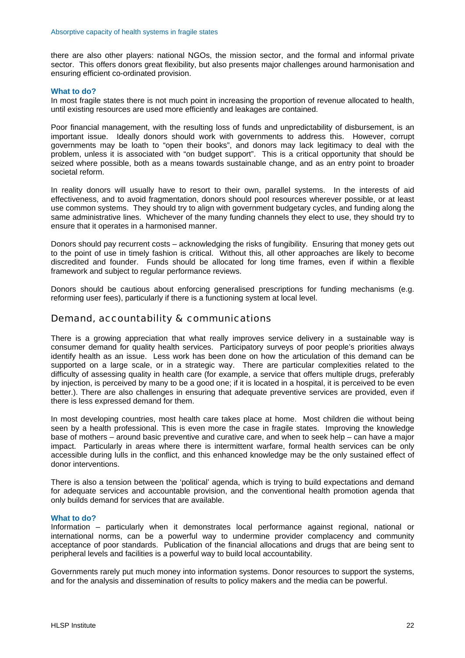there are also other players: national NGOs, the mission sector, and the formal and informal private sector. This offers donors great flexibility, but also presents major challenges around harmonisation and ensuring efficient co-ordinated provision.

#### **What to do?**

In most fragile states there is not much point in increasing the proportion of revenue allocated to health, until existing resources are used more efficiently and leakages are contained.

Poor financial management, with the resulting loss of funds and unpredictability of disbursement, is an important issue. Ideally donors should work with governments to address this. However, corrupt governments may be loath to "open their books", and donors may lack legitimacy to deal with the problem, unless it is associated with "on budget support". This is a critical opportunity that should be seized where possible, both as a means towards sustainable change, and as an entry point to broader societal reform.

In reality donors will usually have to resort to their own, parallel systems. In the interests of aid effectiveness, and to avoid fragmentation, donors should pool resources wherever possible, or at least use common systems. They should try to align with government budgetary cycles, and funding along the same administrative lines. Whichever of the many funding channels they elect to use, they should try to ensure that it operates in a harmonised manner.

Donors should pay recurrent costs – acknowledging the risks of fungibility. Ensuring that money gets out to the point of use in timely fashion is critical. Without this, all other approaches are likely to become discredited and founder. Funds should be allocated for long time frames, even if within a flexible framework and subject to regular performance reviews.

Donors should be cautious about enforcing generalised prescriptions for funding mechanisms (e.g. reforming user fees), particularly if there is a functioning system at local level.

#### Demand, accountability & communications

There is a growing appreciation that what really improves service delivery in a sustainable way is consumer demand for quality health services. Participatory surveys of poor people's priorities always identify health as an issue. Less work has been done on how the articulation of this demand can be supported on a large scale, or in a strategic way. There are particular complexities related to the difficulty of assessing quality in health care (for example, a service that offers multiple drugs, preferably by injection, is perceived by many to be a good one; if it is located in a hospital, it is perceived to be even better.). There are also challenges in ensuring that adequate preventive services are provided, even if there is less expressed demand for them.

In most developing countries, most health care takes place at home. Most children die without being seen by a health professional. This is even more the case in fragile states. Improving the knowledge base of mothers – around basic preventive and curative care, and when to seek help – can have a major impact. Particularly in areas where there is intermittent warfare, formal health services can be only accessible during lulls in the conflict, and this enhanced knowledge may be the only sustained effect of donor interventions.

There is also a tension between the 'political' agenda, which is trying to build expectations and demand for adequate services and accountable provision, and the conventional health promotion agenda that only builds demand for services that are available.

#### **What to do?**

Information – particularly when it demonstrates local performance against regional, national or international norms, can be a powerful way to undermine provider complacency and community acceptance of poor standards. Publication of the financial allocations and drugs that are being sent to peripheral levels and facilities is a powerful way to build local accountability.

Governments rarely put much money into information systems. Donor resources to support the systems, and for the analysis and dissemination of results to policy makers and the media can be powerful.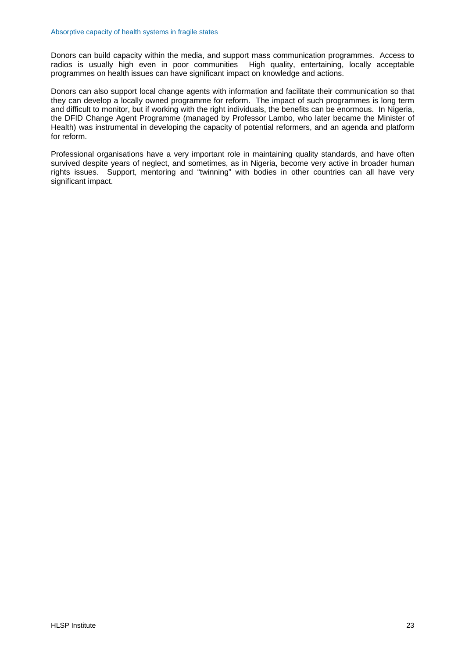Donors can build capacity within the media, and support mass communication programmes. Access to radios is usually high even in poor communities High quality, entertaining, locally acceptable programmes on health issues can have significant impact on knowledge and actions.

Donors can also support local change agents with information and facilitate their communication so that they can develop a locally owned programme for reform. The impact of such programmes is long term and difficult to monitor, but if working with the right individuals, the benefits can be enormous. In Nigeria, the DFID Change Agent Programme (managed by Professor Lambo, who later became the Minister of Health) was instrumental in developing the capacity of potential reformers, and an agenda and platform for reform.

Professional organisations have a very important role in maintaining quality standards, and have often survived despite years of neglect, and sometimes, as in Nigeria, become very active in broader human rights issues. Support, mentoring and "twinning" with bodies in other countries can all have very significant impact.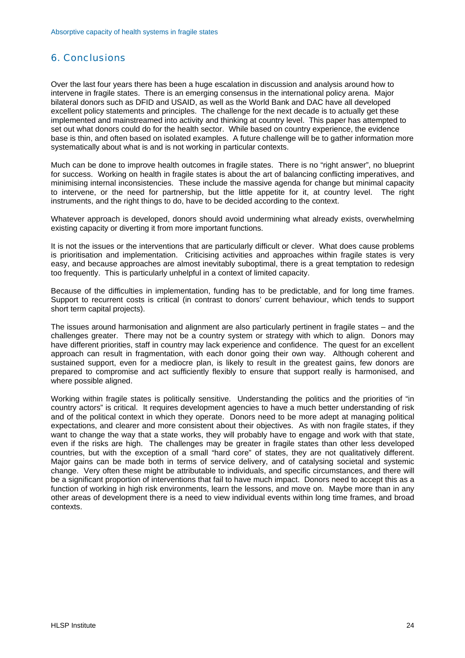# <span id="page-24-0"></span>6. Conclusions

Over the last four years there has been a huge escalation in discussion and analysis around how to intervene in fragile states. There is an emerging consensus in the international policy arena. Major bilateral donors such as DFID and USAID, as well as the World Bank and DAC have all developed excellent policy statements and principles. The challenge for the next decade is to actually get these implemented and mainstreamed into activity and thinking at country level. This paper has attempted to set out what donors could do for the health sector. While based on country experience, the evidence base is thin, and often based on isolated examples. A future challenge will be to gather information more systematically about what is and is not working in particular contexts.

Much can be done to improve health outcomes in fragile states. There is no "right answer", no blueprint for success. Working on health in fragile states is about the art of balancing conflicting imperatives, and minimising internal inconsistencies. These include the massive agenda for change but minimal capacity to intervene, or the need for partnership, but the little appetite for it, at country level. The right instruments, and the right things to do, have to be decided according to the context.

Whatever approach is developed, donors should avoid undermining what already exists, overwhelming existing capacity or diverting it from more important functions.

It is not the issues or the interventions that are particularly difficult or clever. What does cause problems is prioritisation and implementation. Criticising activities and approaches within fragile states is very easy, and because approaches are almost inevitably suboptimal, there is a great temptation to redesign too frequently. This is particularly unhelpful in a context of limited capacity.

Because of the difficulties in implementation, funding has to be predictable, and for long time frames. Support to recurrent costs is critical (in contrast to donors' current behaviour, which tends to support short term capital projects).

The issues around harmonisation and alignment are also particularly pertinent in fragile states – and the challenges greater. There may not be a country system or strategy with which to align. Donors may have different priorities, staff in country may lack experience and confidence. The quest for an excellent approach can result in fragmentation, with each donor going their own way. Although coherent and sustained support, even for a mediocre plan, is likely to result in the greatest gains, few donors are prepared to compromise and act sufficiently flexibly to ensure that support really is harmonised, and where possible aligned.

Working within fragile states is politically sensitive. Understanding the politics and the priorities of "in country actors" is critical. It requires development agencies to have a much better understanding of risk and of the political context in which they operate. Donors need to be more adept at managing political expectations, and clearer and more consistent about their objectives. As with non fragile states, if they want to change the way that a state works, they will probably have to engage and work with that state, even if the risks are high. The challenges may be greater in fragile states than other less developed countries, but with the exception of a small "hard core" of states, they are not qualitatively different. Major gains can be made both in terms of service delivery, and of catalysing societal and systemic change. Very often these might be attributable to individuals, and specific circumstances, and there will be a significant proportion of interventions that fail to have much impact. Donors need to accept this as a function of working in high risk environments, learn the lessons, and move on. Maybe more than in any other areas of development there is a need to view individual events within long time frames, and broad contexts.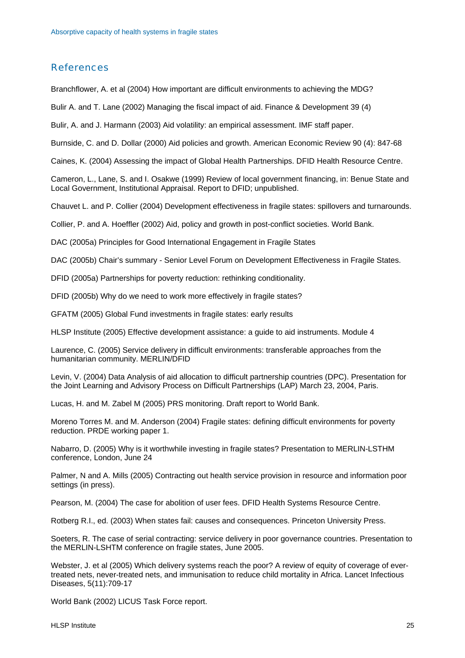# <span id="page-25-0"></span>References

Branchflower, A. et al (2004) How important are difficult environments to achieving the MDG?

Bulir A. and T. Lane (2002) Managing the fiscal impact of aid. Finance & Development 39 (4)

Bulir, A. and J. Harmann (2003) Aid volatility: an empirical assessment. IMF staff paper.

Burnside, C. and D. Dollar (2000) Aid policies and growth. American Economic Review 90 (4): 847-68

Caines, K. (2004) Assessing the impact of Global Health Partnerships. DFID Health Resource Centre.

Cameron, L., Lane, S. and I. Osakwe (1999) Review of local government financing, in: Benue State and Local Government, Institutional Appraisal. Report to DFID; unpublished.

Chauvet L. and P. Collier (2004) Development effectiveness in fragile states: spillovers and turnarounds.

Collier, P. and A. Hoeffler (2002) Aid, policy and growth in post-conflict societies. World Bank.

DAC (2005a) Principles for Good International Engagement in Fragile States

DAC (2005b) Chair's summary - Senior Level Forum on Development Effectiveness in Fragile States.

DFID (2005a) Partnerships for poverty reduction: rethinking conditionality.

DFID (2005b) Why do we need to work more effectively in fragile states?

GFATM (2005) Global Fund investments in fragile states: early results

HLSP Institute (2005) Effective development assistance: a guide to aid instruments. Module 4

Laurence, C. (2005) Service delivery in difficult environments: transferable approaches from the humanitarian community. MERLIN/DFID

Levin, V. (2004) Data Analysis of aid allocation to difficult partnership countries (DPC). Presentation for the Joint Learning and Advisory Process on Difficult Partnerships (LAP) March 23, 2004, Paris.

Lucas, H. and M. Zabel M (2005) PRS monitoring. Draft report to World Bank.

Moreno Torres M. and M. Anderson (2004) Fragile states: defining difficult environments for poverty reduction. PRDE working paper 1.

Nabarro, D. (2005) Why is it worthwhile investing in fragile states? Presentation to MERLIN-LSTHM conference, London, June 24

Palmer, N and A. Mills (2005) Contracting out health service provision in resource and information poor settings (in press).

Pearson, M. (2004) The case for abolition of user fees. DFID Health Systems Resource Centre.

Rotberg R.I., ed. (2003) When states fail: causes and consequences. Princeton University Press.

Soeters, R. The case of serial contracting: service delivery in poor governance countries. Presentation to the MERLIN-LSHTM conference on fragile states, June 2005.

Webster, J. et al (2005) Which delivery systems reach the poor? A review of equity of coverage of evertreated nets, never-treated nets, and immunisation to reduce child mortality in Africa. Lancet Infectious Diseases, 5(11):709-17

World Bank (2002) LICUS Task Force report.